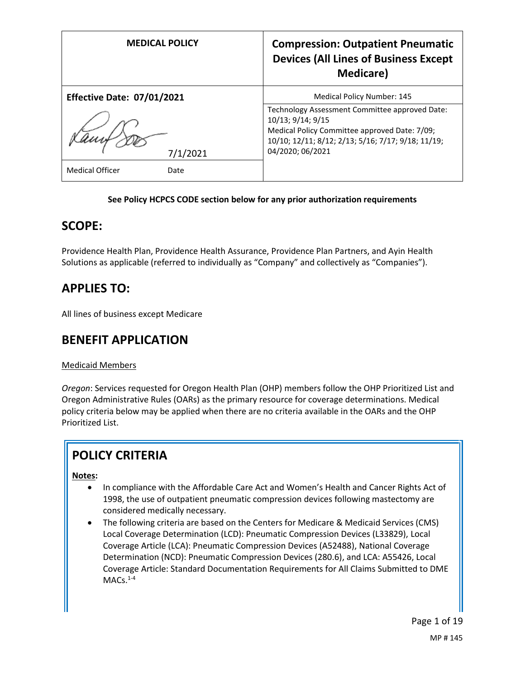| <b>MEDICAL POLICY</b>             | <b>Compression: Outpatient Pneumatic</b><br><b>Devices (All Lines of Business Except</b><br><b>Medicare</b> ) |
|-----------------------------------|---------------------------------------------------------------------------------------------------------------|
| <b>Effective Date: 07/01/2021</b> | <b>Medical Policy Number: 145</b>                                                                             |
|                                   | Technology Assessment Committee approved Date:<br>10/13; 9/14; 9/15                                           |
|                                   | Medical Policy Committee approved Date: 7/09;                                                                 |
|                                   | 10/10; 12/11; 8/12; 2/13; 5/16; 7/17; 9/18; 11/19;<br>04/2020; 06/2021                                        |
| 7/1/2021                          |                                                                                                               |
| <b>Medical Officer</b><br>Date    |                                                                                                               |

### **See Policy HCPCS CODE section below for any prior authorization requirements**

## **SCOPE:**

Providence Health Plan, Providence Health Assurance, Providence Plan Partners, and Ayin Health Solutions as applicable (referred to individually as "Company" and collectively as "Companies").

## **APPLIES TO:**

All lines of business except Medicare

## **BENEFIT APPLICATION**

### Medicaid Members

*Oregon*: Services requested for Oregon Health Plan (OHP) members follow the OHP Prioritized List and Oregon Administrative Rules (OARs) as the primary resource for coverage determinations. Medical policy criteria below may be applied when there are no criteria available in the OARs and the OHP Prioritized List.

# **POLICY CRITERIA**

### **Notes:**

- In compliance with the Affordable Care Act and Women's Health and Cancer Rights Act of 1998, the use of outpatient pneumatic compression devices following mastectomy are considered medically necessary.
- The following criteria are based on the Centers for Medicare & Medicaid Services (CMS) Local Coverage Determination (LCD): Pneumatic Compression Devices (L33829), Local Coverage Article (LCA): Pneumatic Compression Devices (A52488), National Coverage Determination (NCD): Pneumatic Compression Devices (280.6), and LCA: A55426, Local Coverage Article: Standard Documentation Requirements for All Claims Submitted to DME  $MACs.<sup>1-4</sup>$

Page 1 of 19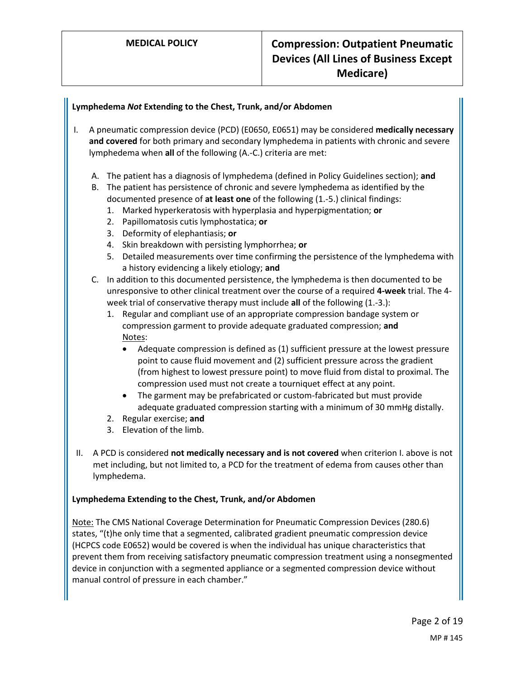### **Lymphedema** *Not* **Extending to the Chest, Trunk, and/or Abdomen**

- I. A pneumatic compression device (PCD) (E0650, E0651) may be considered **medically necessary and covered** for both primary and secondary lymphedema in patients with chronic and severe lymphedema when **all** of the following (A.-C.) criteria are met:
	- A. The patient has a diagnosis of lymphedema (defined in Policy Guidelines section); **and**
	- B. The patient has persistence of chronic and severe lymphedema as identified by the documented presence of **at least one** of the following (1.-5.) clinical findings:
		- 1. Marked hyperkeratosis with hyperplasia and hyperpigmentation; **or**
		- 2. Papillomatosis cutis lymphostatica; **or**
		- 3. Deformity of elephantiasis; **or**
		- 4. Skin breakdown with persisting lymphorrhea; **or**
		- 5. Detailed measurements over time confirming the persistence of the lymphedema with a history evidencing a likely etiology; **and**
	- C. In addition to this documented persistence, the lymphedema is then documented to be unresponsive to other clinical treatment over the course of a required **4-week** trial. The 4 week trial of conservative therapy must include **all** of the following (1.-3.):
		- 1. Regular and compliant use of an appropriate compression bandage system or compression garment to provide adequate graduated compression; **and** Notes:
			- Adequate compression is defined as (1) sufficient pressure at the lowest pressure point to cause fluid movement and (2) sufficient pressure across the gradient (from highest to lowest pressure point) to move fluid from distal to proximal. The compression used must not create a tourniquet effect at any point.
			- The garment may be prefabricated or custom-fabricated but must provide adequate graduated compression starting with a minimum of 30 mmHg distally.
		- 2. Regular exercise; **and**
		- 3. Elevation of the limb.
- II. A PCD is considered **not medically necessary and is not covered** when criterion I. above is not met including, but not limited to, a PCD for the treatment of edema from causes other than lymphedema.

#### **Lymphedema Extending to the Chest, Trunk, and/or Abdomen**

Note: The CMS National Coverage Determination for Pneumatic Compression Devices (280.6) states, "(t)he only time that a segmented, calibrated gradient pneumatic compression device (HCPCS code E0652) would be covered is when the individual has unique characteristics that prevent them from receiving satisfactory pneumatic compression treatment using a nonsegmented device in conjunction with a segmented appliance or a segmented compression device without manual control of pressure in each chamber."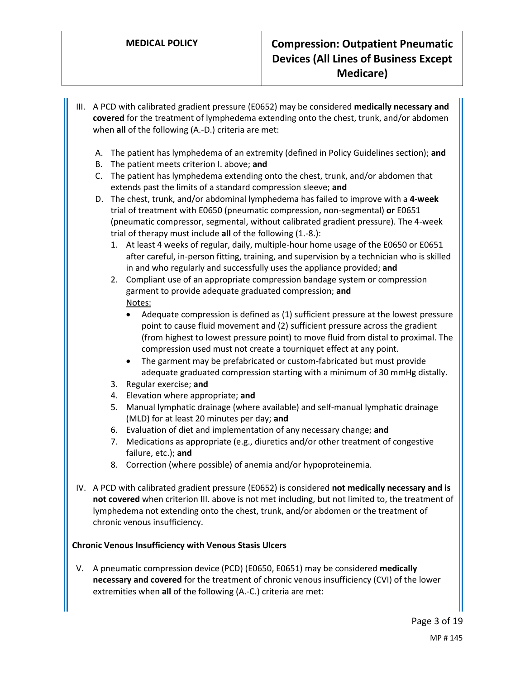- III. A PCD with calibrated gradient pressure (E0652) may be considered **medically necessary and covered** for the treatment of lymphedema extending onto the chest, trunk, and/or abdomen when **all** of the following (A.-D.) criteria are met:
	- A. The patient has lymphedema of an extremity (defined in Policy Guidelines section); **and**
	- B. The patient meets criterion I. above; **and**
	- C. The patient has lymphedema extending onto the chest, trunk, and/or abdomen that extends past the limits of a standard compression sleeve; **and**
	- D. The chest, trunk, and/or abdominal lymphedema has failed to improve with a **4-week** trial of treatment with E0650 (pneumatic compression, non-segmental) **or** E0651 (pneumatic compressor, segmental, without calibrated gradient pressure). The 4-week trial of therapy must include **all** of the following (1.-8.):
		- 1. At least 4 weeks of regular, daily, multiple-hour home usage of the E0650 or E0651 after careful, in-person fitting, training, and supervision by a technician who is skilled in and who regularly and successfully uses the appliance provided; **and**
		- 2. Compliant use of an appropriate compression bandage system or compression garment to provide adequate graduated compression; **and** Notes:
			- Adequate compression is defined as (1) sufficient pressure at the lowest pressure point to cause fluid movement and (2) sufficient pressure across the gradient (from highest to lowest pressure point) to move fluid from distal to proximal. The compression used must not create a tourniquet effect at any point.
			- The garment may be prefabricated or custom-fabricated but must provide adequate graduated compression starting with a minimum of 30 mmHg distally.
		- 3. Regular exercise; **and**
		- 4. Elevation where appropriate; **and**
		- 5. Manual lymphatic drainage (where available) and self-manual lymphatic drainage (MLD) for at least 20 minutes per day; **and**
		- 6. Evaluation of diet and implementation of any necessary change; **and**
		- 7. Medications as appropriate (e.g., diuretics and/or other treatment of congestive failure, etc.); **and**
		- 8. Correction (where possible) of anemia and/or hypoproteinemia.
- IV. A PCD with calibrated gradient pressure (E0652) is considered **not medically necessary and is not covered** when criterion III. above is not met including, but not limited to, the treatment of lymphedema not extending onto the chest, trunk, and/or abdomen or the treatment of chronic venous insufficiency.

### **Chronic Venous Insufficiency with Venous Stasis Ulcers**

V. A pneumatic compression device (PCD) (E0650, E0651) may be considered **medically necessary and covered** for the treatment of chronic venous insufficiency (CVI) of the lower extremities when **all** of the following (A.-C.) criteria are met: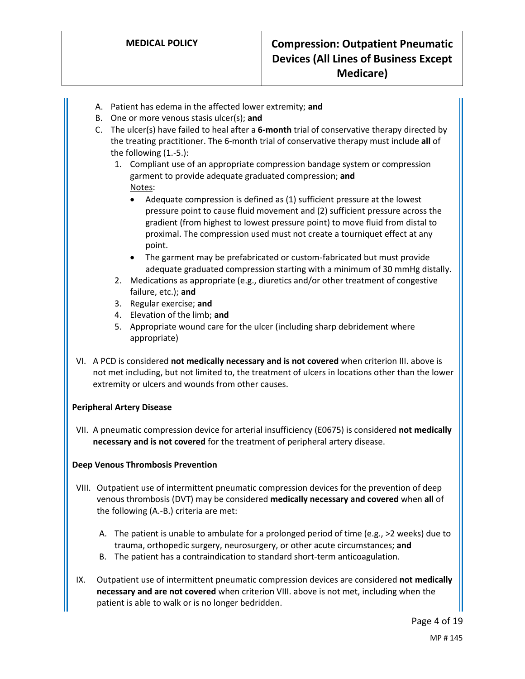- A. Patient has edema in the affected lower extremity; **and**
- B. One or more venous stasis ulcer(s); **and**
- C. The ulcer(s) have failed to heal after a **6-month** trial of conservative therapy directed by the treating practitioner. The 6-month trial of conservative therapy must include **all** of the following (1.-5.):
	- 1. Compliant use of an appropriate compression bandage system or compression garment to provide adequate graduated compression; **and** Notes:
		- Adequate compression is defined as (1) sufficient pressure at the lowest pressure point to cause fluid movement and (2) sufficient pressure across the gradient (from highest to lowest pressure point) to move fluid from distal to proximal. The compression used must not create a tourniquet effect at any point.
		- The garment may be prefabricated or custom-fabricated but must provide adequate graduated compression starting with a minimum of 30 mmHg distally.
	- 2. Medications as appropriate (e.g., diuretics and/or other treatment of congestive failure, etc.); **and**
	- 3. Regular exercise; **and**
	- 4. Elevation of the limb; **and**
	- 5. Appropriate wound care for the ulcer (including sharp debridement where appropriate)
- VI. A PCD is considered **not medically necessary and is not covered** when criterion III. above is not met including, but not limited to, the treatment of ulcers in locations other than the lower extremity or ulcers and wounds from other causes.

### **Peripheral Artery Disease**

VII. A pneumatic compression device for arterial insufficiency (E0675) is considered **not medically necessary and is not covered** for the treatment of peripheral artery disease.

### **Deep Venous Thrombosis Prevention**

- VIII. Outpatient use of intermittent pneumatic compression devices for the prevention of deep venous thrombosis (DVT) may be considered **medically necessary and covered** when **all** of the following (A.-B.) criteria are met:
	- A. The patient is unable to ambulate for a prolonged period of time (e.g., >2 weeks) due to trauma, orthopedic surgery, neurosurgery, or other acute circumstances; **and**
	- B. The patient has a contraindication to standard short-term anticoagulation.
- IX. Outpatient use of intermittent pneumatic compression devices are considered **not medically necessary and are not covered** when criterion VIII. above is not met, including when the patient is able to walk or is no longer bedridden.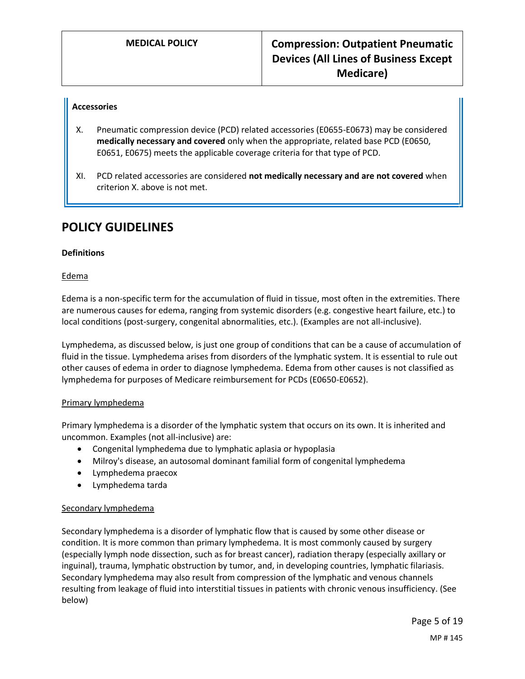#### **Accessories**

- X. Pneumatic compression device (PCD) related accessories (E0655-E0673) may be considered **medically necessary and covered** only when the appropriate, related base PCD (E0650, E0651, E0675) meets the applicable coverage criteria for that type of PCD.
- XI. PCD related accessories are considered **not medically necessary and are not covered** when criterion X. above is not met.

## **POLICY GUIDELINES**

#### **Definitions**

#### Edema

Edema is a non-specific term for the accumulation of fluid in tissue, most often in the extremities. There are numerous causes for edema, ranging from systemic disorders (e.g. congestive heart failure, etc.) to local conditions (post-surgery, congenital abnormalities, etc.). (Examples are not all-inclusive).

Lymphedema, as discussed below, is just one group of conditions that can be a cause of accumulation of fluid in the tissue. Lymphedema arises from disorders of the lymphatic system. It is essential to rule out other causes of edema in order to diagnose lymphedema. Edema from other causes is not classified as lymphedema for purposes of Medicare reimbursement for PCDs (E0650-E0652).

#### Primary lymphedema

Primary lymphedema is a disorder of the lymphatic system that occurs on its own. It is inherited and uncommon. Examples (not all-inclusive) are:

- Congenital lymphedema due to lymphatic aplasia or hypoplasia
- Milroy's disease, an autosomal dominant familial form of congenital lymphedema
- Lymphedema praecox
- Lymphedema tarda

#### Secondary lymphedema

Secondary lymphedema is a disorder of lymphatic flow that is caused by some other disease or condition. It is more common than primary lymphedema. It is most commonly caused by surgery (especially lymph node dissection, such as for breast cancer), radiation therapy (especially axillary or inguinal), trauma, lymphatic obstruction by tumor, and, in developing countries, lymphatic filariasis. Secondary lymphedema may also result from compression of the lymphatic and venous channels resulting from leakage of fluid into interstitial tissues in patients with chronic venous insufficiency. (See below)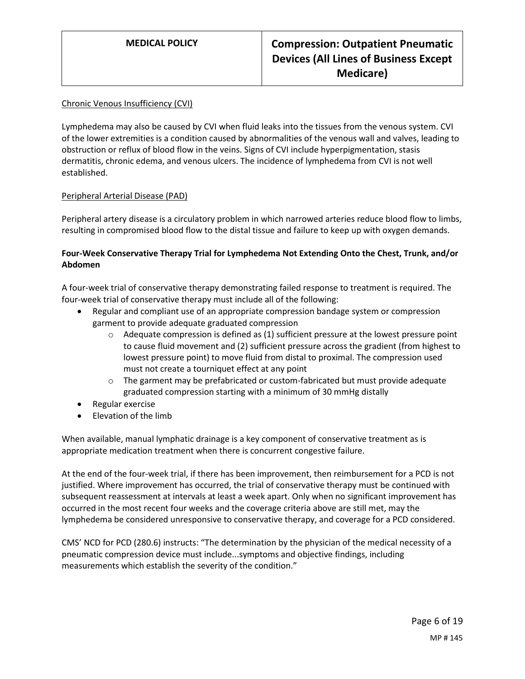#### Chronic Venous Insufficiency (CVI)

Lymphedema may also be caused by CVI when fluid leaks into the tissues from the venous system. CVI of the lower extremities is a condition caused by abnormalities of the venous wall and valves, leading to obstruction or reflux of blood flow in the veins. Signs of CVI include hyperpigmentation, stasis dermatitis, chronic edema, and venous ulcers. The incidence of lymphedema from CVI is not well established.

#### Peripheral Arterial Disease (PAD)

Peripheral artery disease is a circulatory problem in which narrowed arteries reduce blood flow to limbs, resulting in compromised blood flow to the distal tissue and failure to keep up with oxygen demands.

#### **Four-Week Conservative Therapy Trial for Lymphedema Not Extending Onto the Chest, Trunk, and/or Abdomen**

A four-week trial of conservative therapy demonstrating failed response to treatment is required. The four-week trial of conservative therapy must include all of the following:

- Regular and compliant use of an appropriate compression bandage system or compression garment to provide adequate graduated compression
	- $\circ$  Adequate compression is defined as (1) sufficient pressure at the lowest pressure point to cause fluid movement and (2) sufficient pressure across the gradient (from highest to lowest pressure point) to move fluid from distal to proximal. The compression used must not create a tourniquet effect at any point
	- $\circ$  The garment may be prefabricated or custom-fabricated but must provide adequate graduated compression starting with a minimum of 30 mmHg distally
- Regular exercise
- Elevation of the limb

When available, manual lymphatic drainage is a key component of conservative treatment as is appropriate medication treatment when there is concurrent congestive failure.

At the end of the four-week trial, if there has been improvement, then reimbursement for a PCD is not justified. Where improvement has occurred, the trial of conservative therapy must be continued with subsequent reassessment at intervals at least a week apart. Only when no significant improvement has occurred in the most recent four weeks and the coverage criteria above are still met, may the lymphedema be considered unresponsive to conservative therapy, and coverage for a PCD considered.

CMS' NCD for PCD (280.6) instructs: "The determination by the physician of the medical necessity of a pneumatic compression device must include...symptoms and objective findings, including measurements which establish the severity of the condition."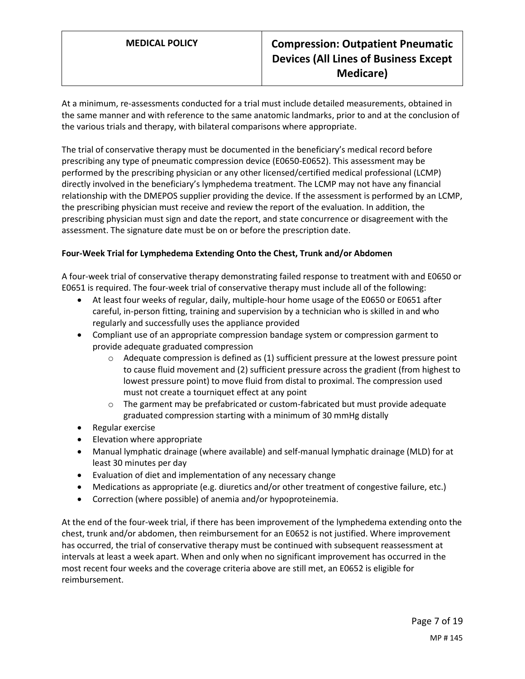## **MEDICAL POLICY Compression: Outpatient Pneumatic Devices (All Lines of Business Except Medicare)**

At a minimum, re-assessments conducted for a trial must include detailed measurements, obtained in the same manner and with reference to the same anatomic landmarks, prior to and at the conclusion of the various trials and therapy, with bilateral comparisons where appropriate.

The trial of conservative therapy must be documented in the beneficiary's medical record before prescribing any type of pneumatic compression device (E0650-E0652). This assessment may be performed by the prescribing physician or any other licensed/certified medical professional (LCMP) directly involved in the beneficiary's lymphedema treatment. The LCMP may not have any financial relationship with the DMEPOS supplier providing the device. If the assessment is performed by an LCMP, the prescribing physician must receive and review the report of the evaluation. In addition, the prescribing physician must sign and date the report, and state concurrence or disagreement with the assessment. The signature date must be on or before the prescription date.

#### **Four-Week Trial for Lymphedema Extending Onto the Chest, Trunk and/or Abdomen**

A four-week trial of conservative therapy demonstrating failed response to treatment with and E0650 or E0651 is required. The four-week trial of conservative therapy must include all of the following:

- At least four weeks of regular, daily, multiple-hour home usage of the E0650 or E0651 after careful, in-person fitting, training and supervision by a technician who is skilled in and who regularly and successfully uses the appliance provided
- Compliant use of an appropriate compression bandage system or compression garment to provide adequate graduated compression
	- o Adequate compression is defined as (1) sufficient pressure at the lowest pressure point to cause fluid movement and (2) sufficient pressure across the gradient (from highest to lowest pressure point) to move fluid from distal to proximal. The compression used must not create a tourniquet effect at any point
	- $\circ$  The garment may be prefabricated or custom-fabricated but must provide adequate graduated compression starting with a minimum of 30 mmHg distally
- Regular exercise
- Elevation where appropriate
- Manual lymphatic drainage (where available) and self-manual lymphatic drainage (MLD) for at least 30 minutes per day
- Evaluation of diet and implementation of any necessary change
- Medications as appropriate (e.g. diuretics and/or other treatment of congestive failure, etc.)
- Correction (where possible) of anemia and/or hypoproteinemia.

At the end of the four-week trial, if there has been improvement of the lymphedema extending onto the chest, trunk and/or abdomen, then reimbursement for an E0652 is not justified. Where improvement has occurred, the trial of conservative therapy must be continued with subsequent reassessment at intervals at least a week apart. When and only when no significant improvement has occurred in the most recent four weeks and the coverage criteria above are still met, an E0652 is eligible for reimbursement.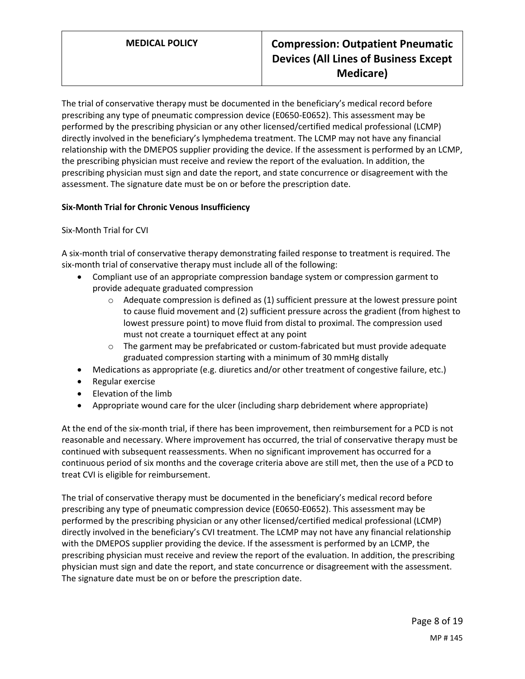## **MEDICAL POLICY Compression: Outpatient Pneumatic Devices (All Lines of Business Except Medicare)**

The trial of conservative therapy must be documented in the beneficiary's medical record before prescribing any type of pneumatic compression device (E0650-E0652). This assessment may be performed by the prescribing physician or any other licensed/certified medical professional (LCMP) directly involved in the beneficiary's lymphedema treatment. The LCMP may not have any financial relationship with the DMEPOS supplier providing the device. If the assessment is performed by an LCMP, the prescribing physician must receive and review the report of the evaluation. In addition, the prescribing physician must sign and date the report, and state concurrence or disagreement with the assessment. The signature date must be on or before the prescription date.

#### **Six-Month Trial for Chronic Venous Insufficiency**

Six-Month Trial for CVI

A six-month trial of conservative therapy demonstrating failed response to treatment is required. The six-month trial of conservative therapy must include all of the following:

- Compliant use of an appropriate compression bandage system or compression garment to provide adequate graduated compression
	- $\circ$  Adequate compression is defined as (1) sufficient pressure at the lowest pressure point to cause fluid movement and (2) sufficient pressure across the gradient (from highest to lowest pressure point) to move fluid from distal to proximal. The compression used must not create a tourniquet effect at any point
	- $\circ$  The garment may be prefabricated or custom-fabricated but must provide adequate graduated compression starting with a minimum of 30 mmHg distally
- Medications as appropriate (e.g. diuretics and/or other treatment of congestive failure, etc.)
- Regular exercise
- Elevation of the limb
- Appropriate wound care for the ulcer (including sharp debridement where appropriate)

At the end of the six-month trial, if there has been improvement, then reimbursement for a PCD is not reasonable and necessary. Where improvement has occurred, the trial of conservative therapy must be continued with subsequent reassessments. When no significant improvement has occurred for a continuous period of six months and the coverage criteria above are still met, then the use of a PCD to treat CVI is eligible for reimbursement.

The trial of conservative therapy must be documented in the beneficiary's medical record before prescribing any type of pneumatic compression device (E0650-E0652). This assessment may be performed by the prescribing physician or any other licensed/certified medical professional (LCMP) directly involved in the beneficiary's CVI treatment. The LCMP may not have any financial relationship with the DMEPOS supplier providing the device. If the assessment is performed by an LCMP, the prescribing physician must receive and review the report of the evaluation. In addition, the prescribing physician must sign and date the report, and state concurrence or disagreement with the assessment. The signature date must be on or before the prescription date.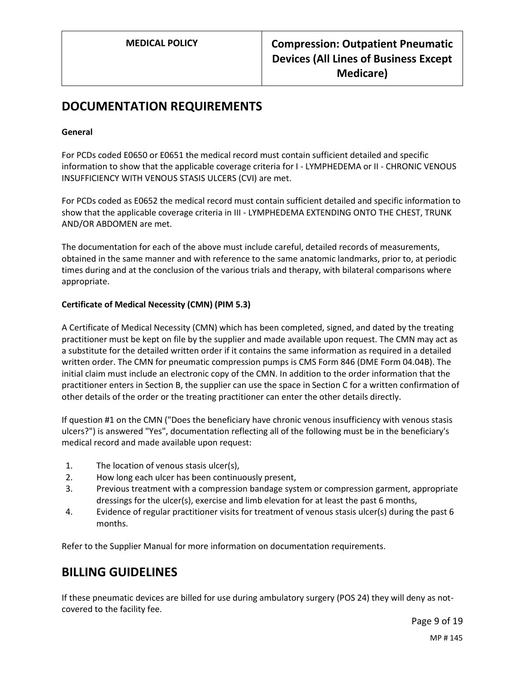## **DOCUMENTATION REQUIREMENTS**

#### **General**

For PCDs coded E0650 or E0651 the medical record must contain sufficient detailed and specific information to show that the applicable coverage criteria for I - LYMPHEDEMA or II - CHRONIC VENOUS INSUFFICIENCY WITH VENOUS STASIS ULCERS (CVI) are met.

For PCDs coded as E0652 the medical record must contain sufficient detailed and specific information to show that the applicable coverage criteria in III - LYMPHEDEMA EXTENDING ONTO THE CHEST, TRUNK AND/OR ABDOMEN are met.

The documentation for each of the above must include careful, detailed records of measurements, obtained in the same manner and with reference to the same anatomic landmarks, prior to, at periodic times during and at the conclusion of the various trials and therapy, with bilateral comparisons where appropriate.

#### **Certificate of Medical Necessity (CMN) (PIM 5.3)**

A Certificate of Medical Necessity (CMN) which has been completed, signed, and dated by the treating practitioner must be kept on file by the supplier and made available upon request. The CMN may act as a substitute for the detailed written order if it contains the same information as required in a detailed written order. The CMN for pneumatic compression pumps is CMS Form 846 (DME Form 04.04B). The initial claim must include an electronic copy of the CMN. In addition to the order information that the practitioner enters in Section B, the supplier can use the space in Section C for a written confirmation of other details of the order or the treating practitioner can enter the other details directly.

If question #1 on the CMN ("Does the beneficiary have chronic venous insufficiency with venous stasis ulcers?") is answered "Yes", documentation reflecting all of the following must be in the beneficiary's medical record and made available upon request:

- 1. The location of venous stasis ulcer(s),
- 2. How long each ulcer has been continuously present,
- 3. Previous treatment with a compression bandage system or compression garment, appropriate dressings for the ulcer(s), exercise and limb elevation for at least the past 6 months,
- 4. Evidence of regular practitioner visits for treatment of venous stasis ulcer(s) during the past 6 months.

Refer to the Supplier Manual for more information on documentation requirements.

## **BILLING GUIDELINES**

If these pneumatic devices are billed for use during ambulatory surgery (POS 24) they will deny as notcovered to the facility fee.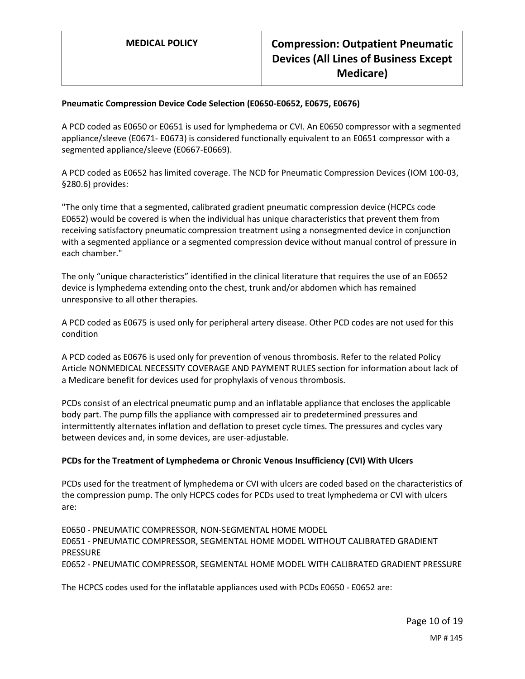#### **Pneumatic Compression Device Code Selection (E0650-E0652, E0675, E0676)**

A PCD coded as E0650 or E0651 is used for lymphedema or CVI. An E0650 compressor with a segmented appliance/sleeve (E0671- E0673) is considered functionally equivalent to an E0651 compressor with a segmented appliance/sleeve (E0667-E0669).

A PCD coded as E0652 has limited coverage. The NCD for Pneumatic Compression Devices (IOM 100-03, §280.6) provides:

"The only time that a segmented, calibrated gradient pneumatic compression device (HCPCs code E0652) would be covered is when the individual has unique characteristics that prevent them from receiving satisfactory pneumatic compression treatment using a nonsegmented device in conjunction with a segmented appliance or a segmented compression device without manual control of pressure in each chamber."

The only "unique characteristics" identified in the clinical literature that requires the use of an E0652 device is lymphedema extending onto the chest, trunk and/or abdomen which has remained unresponsive to all other therapies.

A PCD coded as E0675 is used only for peripheral artery disease. Other PCD codes are not used for this condition

A PCD coded as E0676 is used only for prevention of venous thrombosis. Refer to the related Policy Article NONMEDICAL NECESSITY COVERAGE AND PAYMENT RULES section for information about lack of a Medicare benefit for devices used for prophylaxis of venous thrombosis.

PCDs consist of an electrical pneumatic pump and an inflatable appliance that encloses the applicable body part. The pump fills the appliance with compressed air to predetermined pressures and intermittently alternates inflation and deflation to preset cycle times. The pressures and cycles vary between devices and, in some devices, are user-adjustable.

#### **PCDs for the Treatment of Lymphedema or Chronic Venous Insufficiency (CVI) With Ulcers**

PCDs used for the treatment of lymphedema or CVI with ulcers are coded based on the characteristics of the compression pump. The only HCPCS codes for PCDs used to treat lymphedema or CVI with ulcers are:

E0650 - PNEUMATIC COMPRESSOR, NON-SEGMENTAL HOME MODEL E0651 - PNEUMATIC COMPRESSOR, SEGMENTAL HOME MODEL WITHOUT CALIBRATED GRADIENT PRESSURE E0652 - PNEUMATIC COMPRESSOR, SEGMENTAL HOME MODEL WITH CALIBRATED GRADIENT PRESSURE

The HCPCS codes used for the inflatable appliances used with PCDs E0650 - E0652 are: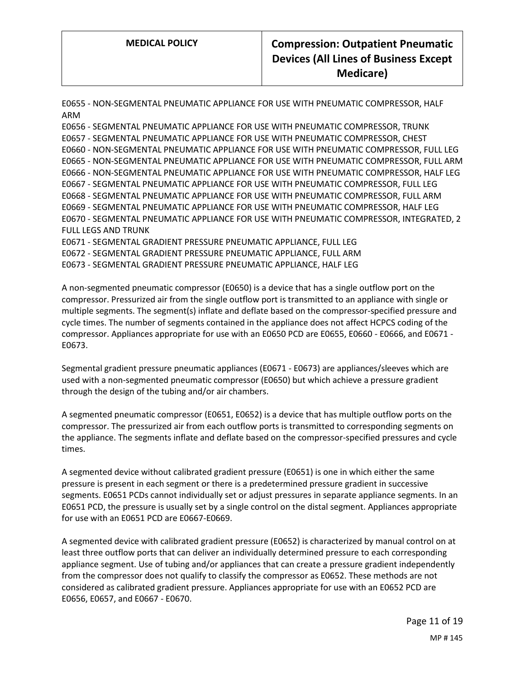E0655 - NON-SEGMENTAL PNEUMATIC APPLIANCE FOR USE WITH PNEUMATIC COMPRESSOR, HALF ARM

E0656 - SEGMENTAL PNEUMATIC APPLIANCE FOR USE WITH PNEUMATIC COMPRESSOR, TRUNK E0657 - SEGMENTAL PNEUMATIC APPLIANCE FOR USE WITH PNEUMATIC COMPRESSOR, CHEST E0660 - NON-SEGMENTAL PNEUMATIC APPLIANCE FOR USE WITH PNEUMATIC COMPRESSOR, FULL LEG E0665 - NON-SEGMENTAL PNEUMATIC APPLIANCE FOR USE WITH PNEUMATIC COMPRESSOR, FULL ARM E0666 - NON-SEGMENTAL PNEUMATIC APPLIANCE FOR USE WITH PNEUMATIC COMPRESSOR, HALF LEG E0667 - SEGMENTAL PNEUMATIC APPLIANCE FOR USE WITH PNEUMATIC COMPRESSOR, FULL LEG E0668 - SEGMENTAL PNEUMATIC APPLIANCE FOR USE WITH PNEUMATIC COMPRESSOR, FULL ARM E0669 - SEGMENTAL PNEUMATIC APPLIANCE FOR USE WITH PNEUMATIC COMPRESSOR, HALF LEG E0670 - SEGMENTAL PNEUMATIC APPLIANCE FOR USE WITH PNEUMATIC COMPRESSOR, INTEGRATED, 2 FULL LEGS AND TRUNK E0671 - SEGMENTAL GRADIENT PRESSURE PNEUMATIC APPLIANCE, FULL LEG E0672 - SEGMENTAL GRADIENT PRESSURE PNEUMATIC APPLIANCE, FULL ARM E0673 - SEGMENTAL GRADIENT PRESSURE PNEUMATIC APPLIANCE, HALF LEG

A non-segmented pneumatic compressor (E0650) is a device that has a single outflow port on the compressor. Pressurized air from the single outflow port is transmitted to an appliance with single or multiple segments. The segment(s) inflate and deflate based on the compressor-specified pressure and cycle times. The number of segments contained in the appliance does not affect HCPCS coding of the compressor. Appliances appropriate for use with an E0650 PCD are E0655, E0660 - E0666, and E0671 - E0673.

Segmental gradient pressure pneumatic appliances (E0671 - E0673) are appliances/sleeves which are used with a non-segmented pneumatic compressor (E0650) but which achieve a pressure gradient through the design of the tubing and/or air chambers.

A segmented pneumatic compressor (E0651, E0652) is a device that has multiple outflow ports on the compressor. The pressurized air from each outflow ports is transmitted to corresponding segments on the appliance. The segments inflate and deflate based on the compressor-specified pressures and cycle times.

A segmented device without calibrated gradient pressure (E0651) is one in which either the same pressure is present in each segment or there is a predetermined pressure gradient in successive segments. E0651 PCDs cannot individually set or adjust pressures in separate appliance segments. In an E0651 PCD, the pressure is usually set by a single control on the distal segment. Appliances appropriate for use with an E0651 PCD are E0667-E0669.

A segmented device with calibrated gradient pressure (E0652) is characterized by manual control on at least three outflow ports that can deliver an individually determined pressure to each corresponding appliance segment. Use of tubing and/or appliances that can create a pressure gradient independently from the compressor does not qualify to classify the compressor as E0652. These methods are not considered as calibrated gradient pressure. Appliances appropriate for use with an E0652 PCD are E0656, E0657, and E0667 - E0670.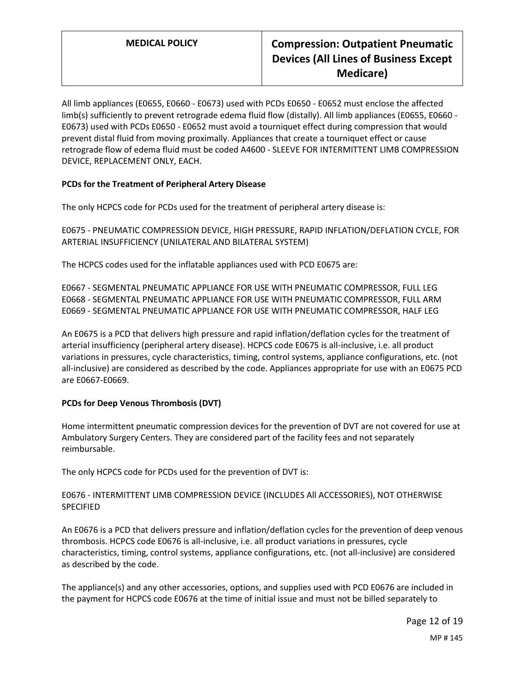All limb appliances (E0655, E0660 - E0673) used with PCDs E0650 - E0652 must enclose the affected limb(s) sufficiently to prevent retrograde edema fluid flow (distally). All limb appliances (E0655, E0660 - E0673) used with PCDs E0650 - E0652 must avoid a tourniquet effect during compression that would prevent distal fluid from moving proximally. Appliances that create a tourniquet effect or cause retrograde flow of edema fluid must be coded A4600 - SLEEVE FOR INTERMITTENT LIMB COMPRESSION DEVICE, REPLACEMENT ONLY, EACH.

### **PCDs for the Treatment of Peripheral Artery Disease**

The only HCPCS code for PCDs used for the treatment of peripheral artery disease is:

E0675 - PNEUMATIC COMPRESSION DEVICE, HIGH PRESSURE, RAPID INFLATION/DEFLATION CYCLE, FOR ARTERIAL INSUFFICIENCY (UNILATERAL AND BILATERAL SYSTEM)

The HCPCS codes used for the inflatable appliances used with PCD E0675 are:

E0667 - SEGMENTAL PNEUMATIC APPLIANCE FOR USE WITH PNEUMATIC COMPRESSOR, FULL LEG E0668 - SEGMENTAL PNEUMATIC APPLIANCE FOR USE WITH PNEUMATIC COMPRESSOR, FULL ARM E0669 - SEGMENTAL PNEUMATIC APPLIANCE FOR USE WITH PNEUMATIC COMPRESSOR, HALF LEG

An E0675 is a PCD that delivers high pressure and rapid inflation/deflation cycles for the treatment of arterial insufficiency (peripheral artery disease). HCPCS code E0675 is all-inclusive, i.e. all product variations in pressures, cycle characteristics, timing, control systems, appliance configurations, etc. (not all-inclusive) are considered as described by the code. Appliances appropriate for use with an E0675 PCD are E0667-E0669.

### **PCDs for Deep Venous Thrombosis (DVT)**

Home intermittent pneumatic compression devices for the prevention of DVT are not covered for use at Ambulatory Surgery Centers. They are considered part of the facility fees and not separately reimbursable.

The only HCPCS code for PCDs used for the prevention of DVT is:

#### E0676 - INTERMITTENT LIMB COMPRESSION DEVICE (INCLUDES All ACCESSORIES), NOT OTHERWISE SPECIFIED

An E0676 is a PCD that delivers pressure and inflation/deflation cycles for the prevention of deep venous thrombosis. HCPCS code E0676 is all-inclusive, i.e. all product variations in pressures, cycle characteristics, timing, control systems, appliance configurations, etc. (not all-inclusive) are considered as described by the code.

The appliance(s) and any other accessories, options, and supplies used with PCD E0676 are included in the payment for HCPCS code E0676 at the time of initial issue and must not be billed separately to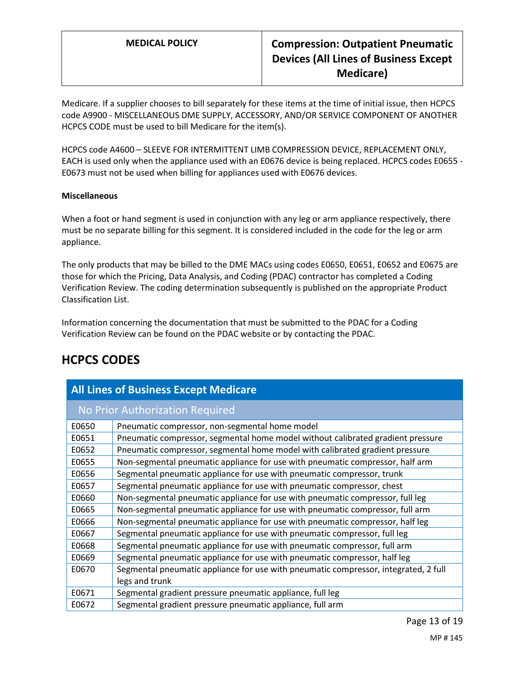Medicare. If a supplier chooses to bill separately for these items at the time of initial issue, then HCPCS code A9900 - MISCELLANEOUS DME SUPPLY, ACCESSORY, AND/OR SERVICE COMPONENT OF ANOTHER HCPCS CODE must be used to bill Medicare for the item(s).

HCPCS code A4600 – SLEEVE FOR INTERMITTENT LIMB COMPRESSION DEVICE, REPLACEMENT ONLY, EACH is used only when the appliance used with an E0676 device is being replaced. HCPCS codes E0655 - E0673 must not be used when billing for appliances used with E0676 devices.

#### **Miscellaneous**

When a foot or hand segment is used in conjunction with any leg or arm appliance respectively, there must be no separate billing for this segment. It is considered included in the code for the leg or arm appliance.

The only products that may be billed to the DME MACs using codes E0650, E0651, E0652 and E0675 are those for which the Pricing, Data Analysis, and Coding (PDAC) contractor has completed a Coding Verification Review. The coding determination subsequently is published on the appropriate Product Classification List.

Information concerning the documentation that must be submitted to the PDAC for a Coding Verification Review can be found on the PDAC website or by contacting the PDAC.

## **HCPCS CODES**

| <b>All Lines of Business Except Medicare</b> |                                                                                     |
|----------------------------------------------|-------------------------------------------------------------------------------------|
| No Prior Authorization Required              |                                                                                     |
| E0650                                        | Pneumatic compressor, non-segmental home model                                      |
| E0651                                        | Pneumatic compressor, segmental home model without calibrated gradient pressure     |
| E0652                                        | Pneumatic compressor, segmental home model with calibrated gradient pressure        |
| E0655                                        | Non-segmental pneumatic appliance for use with pneumatic compressor, half arm       |
| E0656                                        | Segmental pneumatic appliance for use with pneumatic compressor, trunk              |
| E0657                                        | Segmental pneumatic appliance for use with pneumatic compressor, chest              |
| E0660                                        | Non-segmental pneumatic appliance for use with pneumatic compressor, full leg       |
| E0665                                        | Non-segmental pneumatic appliance for use with pneumatic compressor, full arm       |
| E0666                                        | Non-segmental pneumatic appliance for use with pneumatic compressor, half leg       |
| E0667                                        | Segmental pneumatic appliance for use with pneumatic compressor, full leg           |
| E0668                                        | Segmental pneumatic appliance for use with pneumatic compressor, full arm           |
| E0669                                        | Segmental pneumatic appliance for use with pneumatic compressor, half leg           |
| E0670                                        | Segmental pneumatic appliance for use with pneumatic compressor, integrated, 2 full |
|                                              | legs and trunk                                                                      |
| E0671                                        | Segmental gradient pressure pneumatic appliance, full leg                           |
| E0672                                        | Segmental gradient pressure pneumatic appliance, full arm                           |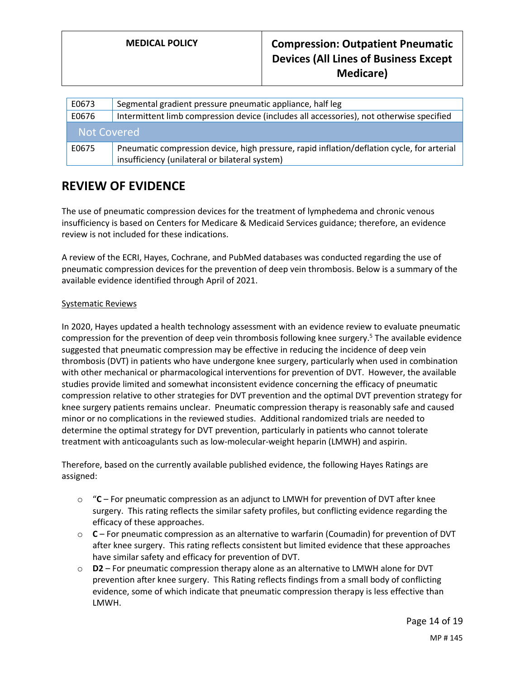| E0673       | Segmental gradient pressure pneumatic appliance, half leg                                                                                    |
|-------------|----------------------------------------------------------------------------------------------------------------------------------------------|
| E0676       | Intermittent limb compression device (includes all accessories), not otherwise specified                                                     |
| Not Covered |                                                                                                                                              |
| E0675       | Pneumatic compression device, high pressure, rapid inflation/deflation cycle, for arterial<br>insufficiency (unilateral or bilateral system) |

## **REVIEW OF EVIDENCE**

The use of pneumatic compression devices for the treatment of lymphedema and chronic venous insufficiency is based on Centers for Medicare & Medicaid Services guidance; therefore, an evidence review is not included for these indications.

A review of the ECRI, Hayes, Cochrane, and PubMed databases was conducted regarding the use of pneumatic compression devices for the prevention of deep vein thrombosis. Below is a summary of the available evidence identified through April of 2021.

#### Systematic Reviews

In 2020, Hayes updated a health technology assessment with an evidence review to evaluate pneumatic compression for the prevention of deep vein thrombosis following knee surgery.<sup>5</sup> The available evidence suggested that pneumatic compression may be effective in reducing the incidence of deep vein thrombosis (DVT) in patients who have undergone knee surgery, particularly when used in combination with other mechanical or pharmacological interventions for prevention of DVT. However, the available studies provide limited and somewhat inconsistent evidence concerning the efficacy of pneumatic compression relative to other strategies for DVT prevention and the optimal DVT prevention strategy for knee surgery patients remains unclear. Pneumatic compression therapy is reasonably safe and caused minor or no complications in the reviewed studies. Additional randomized trials are needed to determine the optimal strategy for DVT prevention, particularly in patients who cannot tolerate treatment with anticoagulants such as low-molecular-weight heparin (LMWH) and aspirin.

Therefore, based on the currently available published evidence, the following Hayes Ratings are assigned:

- o "**C**  For pneumatic compression as an adjunct to LMWH for prevention of DVT after knee surgery. This rating reflects the similar safety profiles, but conflicting evidence regarding the efficacy of these approaches.
- o **C**  For pneumatic compression as an alternative to warfarin (Coumadin) for prevention of DVT after knee surgery. This rating reflects consistent but limited evidence that these approaches have similar safety and efficacy for prevention of DVT.
- o **D2**  For pneumatic compression therapy alone as an alternative to LMWH alone for DVT prevention after knee surgery. This Rating reflects findings from a small body of conflicting evidence, some of which indicate that pneumatic compression therapy is less effective than LMWH.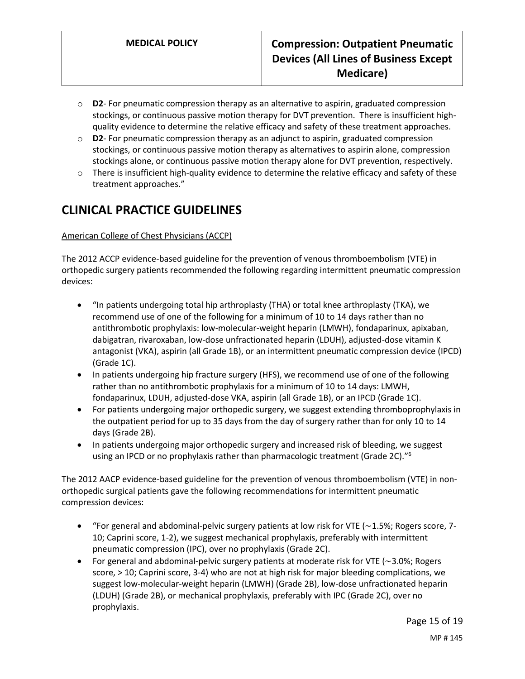- o **D2** For pneumatic compression therapy as an alternative to aspirin, graduated compression stockings, or continuous passive motion therapy for DVT prevention. There is insufficient highquality evidence to determine the relative efficacy and safety of these treatment approaches.
- o **D2** For pneumatic compression therapy as an adjunct to aspirin, graduated compression stockings, or continuous passive motion therapy as alternatives to aspirin alone, compression stockings alone, or continuous passive motion therapy alone for DVT prevention, respectively.
- $\circ$  There is insufficient high-quality evidence to determine the relative efficacy and safety of these treatment approaches."

# **CLINICAL PRACTICE GUIDELINES**

### American College of Chest Physicians (ACCP)

The 2012 ACCP evidence-based guideline for the prevention of venous thromboembolism (VTE) in orthopedic surgery patients recommended the following regarding intermittent pneumatic compression devices:

- "In patients undergoing total hip arthroplasty (THA) or total knee arthroplasty (TKA), we recommend use of one of the following for a minimum of 10 to 14 days rather than no antithrombotic prophylaxis: low-molecular-weight heparin (LMWH), fondaparinux, apixaban, dabigatran, rivaroxaban, low-dose unfractionated heparin (LDUH), adjusted-dose vitamin K antagonist (VKA), aspirin (all Grade 1B), or an intermittent pneumatic compression device (IPCD) (Grade 1C).
- In patients undergoing hip fracture surgery (HFS), we recommend use of one of the following rather than no antithrombotic prophylaxis for a minimum of 10 to 14 days: LMWH, fondaparinux, LDUH, adjusted-dose VKA, aspirin (all Grade 1B), or an IPCD (Grade 1C).
- For patients undergoing major orthopedic surgery, we suggest extending thromboprophylaxis in the outpatient period for up to 35 days from the day of surgery rather than for only 10 to 14 days (Grade 2B).
- In patients undergoing major orthopedic surgery and increased risk of bleeding, we suggest using an IPCD or no prophylaxis rather than pharmacologic treatment (Grade 2C)."<sup>6</sup>

The 2012 AACP evidence-based guideline for the prevention of venous thromboembolism (VTE) in nonorthopedic surgical patients gave the following recommendations for intermittent pneumatic compression devices:

- "For general and abdominal-pelvic surgery patients at low risk for VTE (∼1.5%; Rogers score, 7- 10; Caprini score, 1-2), we suggest mechanical prophylaxis, preferably with intermittent pneumatic compression (IPC), over no prophylaxis (Grade 2C).
- For general and abdominal-pelvic surgery patients at moderate risk for VTE (∼3.0%; Rogers score, > 10; Caprini score, 3-4) who are not at high risk for major bleeding complications, we suggest low-molecular-weight heparin (LMWH) (Grade 2B), low-dose unfractionated heparin (LDUH) (Grade 2B), or mechanical prophylaxis, preferably with IPC (Grade 2C), over no prophylaxis.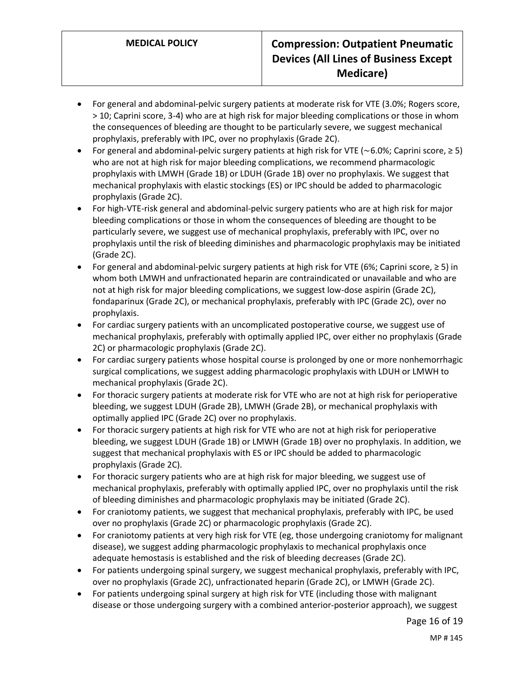- For general and abdominal-pelvic surgery patients at moderate risk for VTE (3.0%; Rogers score, > 10; Caprini score, 3-4) who are at high risk for major bleeding complications or those in whom the consequences of bleeding are thought to be particularly severe, we suggest mechanical prophylaxis, preferably with IPC, over no prophylaxis (Grade 2C).
- For general and abdominal-pelvic surgery patients at high risk for VTE (∼6.0%; Caprini score, ≥ 5) who are not at high risk for major bleeding complications, we recommend pharmacologic prophylaxis with LMWH (Grade 1B) or LDUH (Grade 1B) over no prophylaxis. We suggest that mechanical prophylaxis with elastic stockings (ES) or IPC should be added to pharmacologic prophylaxis (Grade 2C).
- For high-VTE-risk general and abdominal-pelvic surgery patients who are at high risk for major bleeding complications or those in whom the consequences of bleeding are thought to be particularly severe, we suggest use of mechanical prophylaxis, preferably with IPC, over no prophylaxis until the risk of bleeding diminishes and pharmacologic prophylaxis may be initiated (Grade 2C).
- For general and abdominal-pelvic surgery patients at high risk for VTE (6%; Caprini score, ≥ 5) in whom both LMWH and unfractionated heparin are contraindicated or unavailable and who are not at high risk for major bleeding complications, we suggest low-dose aspirin (Grade 2C), fondaparinux (Grade 2C), or mechanical prophylaxis, preferably with IPC (Grade 2C), over no prophylaxis.
- For cardiac surgery patients with an uncomplicated postoperative course, we suggest use of mechanical prophylaxis, preferably with optimally applied IPC, over either no prophylaxis (Grade 2C) or pharmacologic prophylaxis (Grade 2C).
- For cardiac surgery patients whose hospital course is prolonged by one or more nonhemorrhagic surgical complications, we suggest adding pharmacologic prophylaxis with LDUH or LMWH to mechanical prophylaxis (Grade 2C).
- For thoracic surgery patients at moderate risk for VTE who are not at high risk for perioperative bleeding, we suggest LDUH (Grade 2B), LMWH (Grade 2B), or mechanical prophylaxis with optimally applied IPC (Grade 2C) over no prophylaxis.
- For thoracic surgery patients at high risk for VTE who are not at high risk for perioperative bleeding, we suggest LDUH (Grade 1B) or LMWH (Grade 1B) over no prophylaxis. In addition, we suggest that mechanical prophylaxis with ES or IPC should be added to pharmacologic prophylaxis (Grade 2C).
- For thoracic surgery patients who are at high risk for major bleeding, we suggest use of mechanical prophylaxis, preferably with optimally applied IPC, over no prophylaxis until the risk of bleeding diminishes and pharmacologic prophylaxis may be initiated (Grade 2C).
- For craniotomy patients, we suggest that mechanical prophylaxis, preferably with IPC, be used over no prophylaxis (Grade 2C) or pharmacologic prophylaxis (Grade 2C).
- For craniotomy patients at very high risk for VTE (eg, those undergoing craniotomy for malignant disease), we suggest adding pharmacologic prophylaxis to mechanical prophylaxis once adequate hemostasis is established and the risk of bleeding decreases (Grade 2C).
- For patients undergoing spinal surgery, we suggest mechanical prophylaxis, preferably with IPC, over no prophylaxis (Grade 2C), unfractionated heparin (Grade 2C), or LMWH (Grade 2C).
- For patients undergoing spinal surgery at high risk for VTE (including those with malignant disease or those undergoing surgery with a combined anterior-posterior approach), we suggest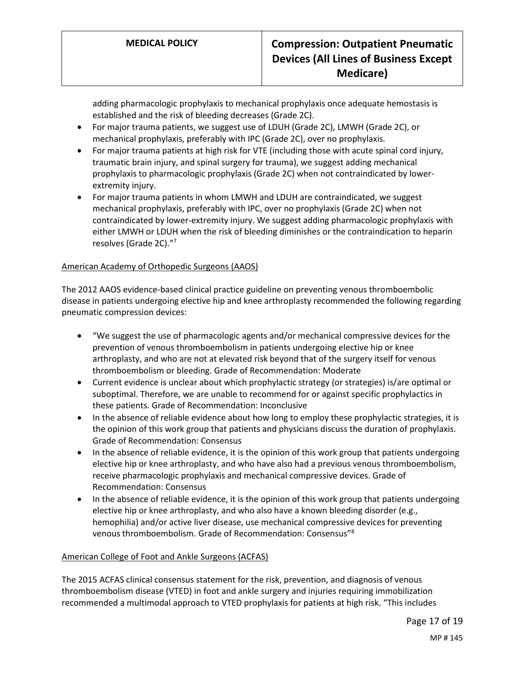adding pharmacologic prophylaxis to mechanical prophylaxis once adequate hemostasis is established and the risk of bleeding decreases (Grade 2C).

- For major trauma patients, we suggest use of LDUH (Grade 2C), LMWH (Grade 2C), or mechanical prophylaxis, preferably with IPC (Grade 2C), over no prophylaxis.
- For major trauma patients at high risk for VTE (including those with acute spinal cord injury, traumatic brain injury, and spinal surgery for trauma), we suggest adding mechanical prophylaxis to pharmacologic prophylaxis (Grade 2C) when not contraindicated by lowerextremity injury.
- For major trauma patients in whom LMWH and LDUH are contraindicated, we suggest mechanical prophylaxis, preferably with IPC, over no prophylaxis (Grade 2C) when not contraindicated by lower-extremity injury. We suggest adding pharmacologic prophylaxis with either LMWH or LDUH when the risk of bleeding diminishes or the contraindication to heparin resolves (Grade 2C)." 7

### American Academy of Orthopedic Surgeons (AAOS)

The 2012 AAOS evidence-based clinical practice guideline on preventing venous thromboembolic disease in patients undergoing elective hip and knee arthroplasty recommended the following regarding pneumatic compression devices:

- "We suggest the use of pharmacologic agents and/or mechanical compressive devices for the prevention of venous thromboembolism in patients undergoing elective hip or knee arthroplasty, and who are not at elevated risk beyond that of the surgery itself for venous thromboembolism or bleeding. Grade of Recommendation: Moderate
- Current evidence is unclear about which prophylactic strategy (or strategies) is/are optimal or suboptimal. Therefore, we are unable to recommend for or against specific prophylactics in these patients. Grade of Recommendation: Inconclusive
- In the absence of reliable evidence about how long to employ these prophylactic strategies, it is the opinion of this work group that patients and physicians discuss the duration of prophylaxis. Grade of Recommendation: Consensus
- In the absence of reliable evidence, it is the opinion of this work group that patients undergoing elective hip or knee arthroplasty, and who have also had a previous venous thromboembolism, receive pharmacologic prophylaxis and mechanical compressive devices. Grade of Recommendation: Consensus
- In the absence of reliable evidence, it is the opinion of this work group that patients undergoing elective hip or knee arthroplasty, and who also have a known bleeding disorder (e.g., hemophilia) and/or active liver disease, use mechanical compressive devices for preventing venous thromboembolism. Grade of Recommendation: Consensus"<sup>8</sup>

#### American College of Foot and Ankle Surgeons (ACFAS)

The 2015 ACFAS clinical consensus statement for the risk, prevention, and diagnosis of venous thromboembolism disease (VTED) in foot and ankle surgery and injuries requiring immobilization recommended a multimodal approach to VTED prophylaxis for patients at high risk. "This includes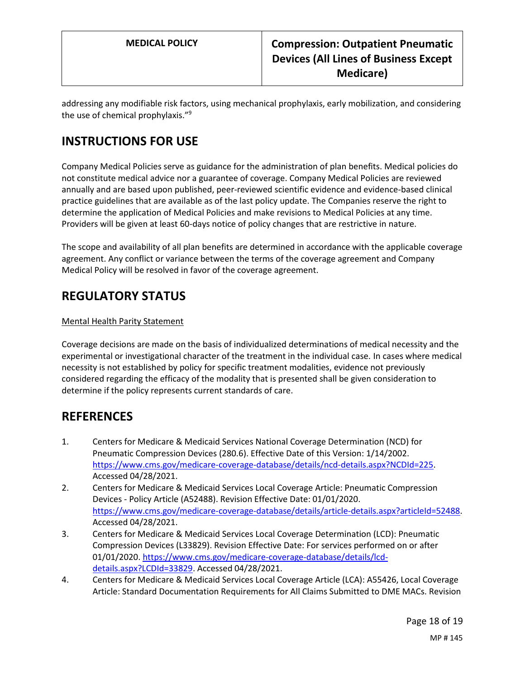addressing any modifiable risk factors, using mechanical prophylaxis, early mobilization, and considering the use of chemical prophylaxis."<sup>9</sup>

# **INSTRUCTIONS FOR USE**

Company Medical Policies serve as guidance for the administration of plan benefits. Medical policies do not constitute medical advice nor a guarantee of coverage. Company Medical Policies are reviewed annually and are based upon published, peer-reviewed scientific evidence and evidence-based clinical practice guidelines that are available as of the last policy update. The Companies reserve the right to determine the application of Medical Policies and make revisions to Medical Policies at any time. Providers will be given at least 60-days notice of policy changes that are restrictive in nature.

The scope and availability of all plan benefits are determined in accordance with the applicable coverage agreement. Any conflict or variance between the terms of the coverage agreement and Company Medical Policy will be resolved in favor of the coverage agreement.

# **REGULATORY STATUS**

### Mental Health Parity Statement

Coverage decisions are made on the basis of individualized determinations of medical necessity and the experimental or investigational character of the treatment in the individual case. In cases where medical necessity is not established by policy for specific treatment modalities, evidence not previously considered regarding the efficacy of the modality that is presented shall be given consideration to determine if the policy represents current standards of care.

## **REFERENCES**

- 1. Centers for Medicare & Medicaid Services National Coverage Determination (NCD) for Pneumatic Compression Devices (280.6). Effective Date of this Version: 1/14/2002. [https://www.cms.gov/medicare-coverage-database/details/ncd-details.aspx?NCDId=225.](https://www.cms.gov/medicare-coverage-database/details/ncd-details.aspx?NCDId=225) Accessed 04/28/2021.
- 2. Centers for Medicare & Medicaid Services Local Coverage Article: Pneumatic Compression Devices - Policy Article (A52488). Revision Effective Date: 01/01/2020. [https://www.cms.gov/medicare-coverage-database/details/article-details.aspx?articleId=52488.](https://www.cms.gov/medicare-coverage-database/details/article-details.aspx?articleId=52488) Accessed 04/28/2021.
- 3. Centers for Medicare & Medicaid Services Local Coverage Determination (LCD): Pneumatic Compression Devices (L33829). Revision Effective Date: For services performed on or after 01/01/2020[. https://www.cms.gov/medicare-coverage-database/details/lcd](https://www.cms.gov/medicare-coverage-database/details/lcd-details.aspx?LCDId=33829)[details.aspx?LCDId=33829.](https://www.cms.gov/medicare-coverage-database/details/lcd-details.aspx?LCDId=33829) Accessed 04/28/2021.
- 4. Centers for Medicare & Medicaid Services Local Coverage Article (LCA): A55426, Local Coverage Article: Standard Documentation Requirements for All Claims Submitted to DME MACs. Revision